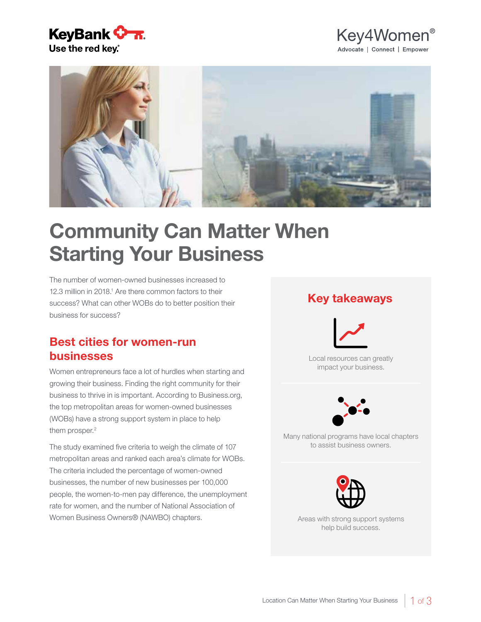





# Community Can Matter When Starting Your Business

The number of women-owned businesses increased to 12.3 million in 2018.<sup>1</sup> Are there common factors to their success? What can other WOBs do to better position their business for success?

# Best cities for women-run businesses

Women entrepreneurs face a lot of hurdles when starting and growing their business. Finding the right community for their business to thrive in is important. According to Business.org, the top metropolitan areas for women-owned businesses (WOBs) have a strong support system in place to help them prosper.<sup>2</sup>

The study examined five criteria to weigh the climate of 107 metropolitan areas and ranked each area's climate for WOBs. The criteria included the percentage of women-owned businesses, the number of new businesses per 100,000 people, the women-to-men pay difference, the unemployment rate for women, and the number of National Association of Women Business Owners® (NAWBO) chapters.

### Key takeaways



Local resources can greatly impact your business.



Many national programs have local chapters to assist business owners.



Areas with strong support systems help build success.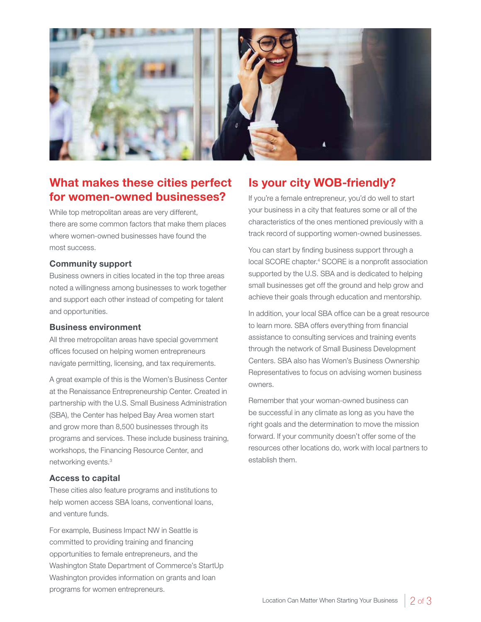

# What makes these cities perfect for women-owned businesses?

While top metropolitan areas are very different, there are some common factors that make them places where women-owned businesses have found the most success.

#### Community support

Business owners in cities located in the top three areas noted a willingness among businesses to work together and support each other instead of competing for talent and opportunities.

#### Business environment

All three metropolitan areas have special government offices focused on helping women entrepreneurs navigate permitting, licensing, and tax requirements.

A great example of this is the Women's Business Center at the Renaissance Entrepreneurship Center. Created in partnership with the U.S. Small Business Administration (SBA), the Center has helped Bay Area women start and grow more than 8,500 businesses through its programs and services. These include business training, workshops, the Financing Resource Center, and networking events.3

#### Access to capital

These cities also feature programs and institutions to help women access SBA loans, conventional loans, and venture funds.

For example, Business Impact NW in Seattle is committed to providing training and financing opportunities to female entrepreneurs, and the Washington State Department of Commerce's StartUp Washington provides information on grants and loan programs for women entrepreneurs.

# Is your city WOB-friendly?

If you're a female entrepreneur, you'd do well to start your business in a city that features some or all of the characteristics of the ones mentioned previously with a track record of supporting women-owned businesses.

You can start by finding business support through a local SCORE chapter.<sup>4</sup> SCORE is a nonprofit association supported by the U.S. SBA and is dedicated to helping small businesses get off the ground and help grow and achieve their goals through education and mentorship.

In addition, your local SBA office can be a great resource to learn more. SBA offers everything from financial assistance to consulting services and training events through the network of Small Business Development Centers. SBA also has Women's Business Ownership Representatives to focus on advising women business owners.

Remember that your woman-owned business can be successful in any climate as long as you have the right goals and the determination to move the mission forward. If your community doesn't offer some of the resources other locations do, work with local partners to establish them.